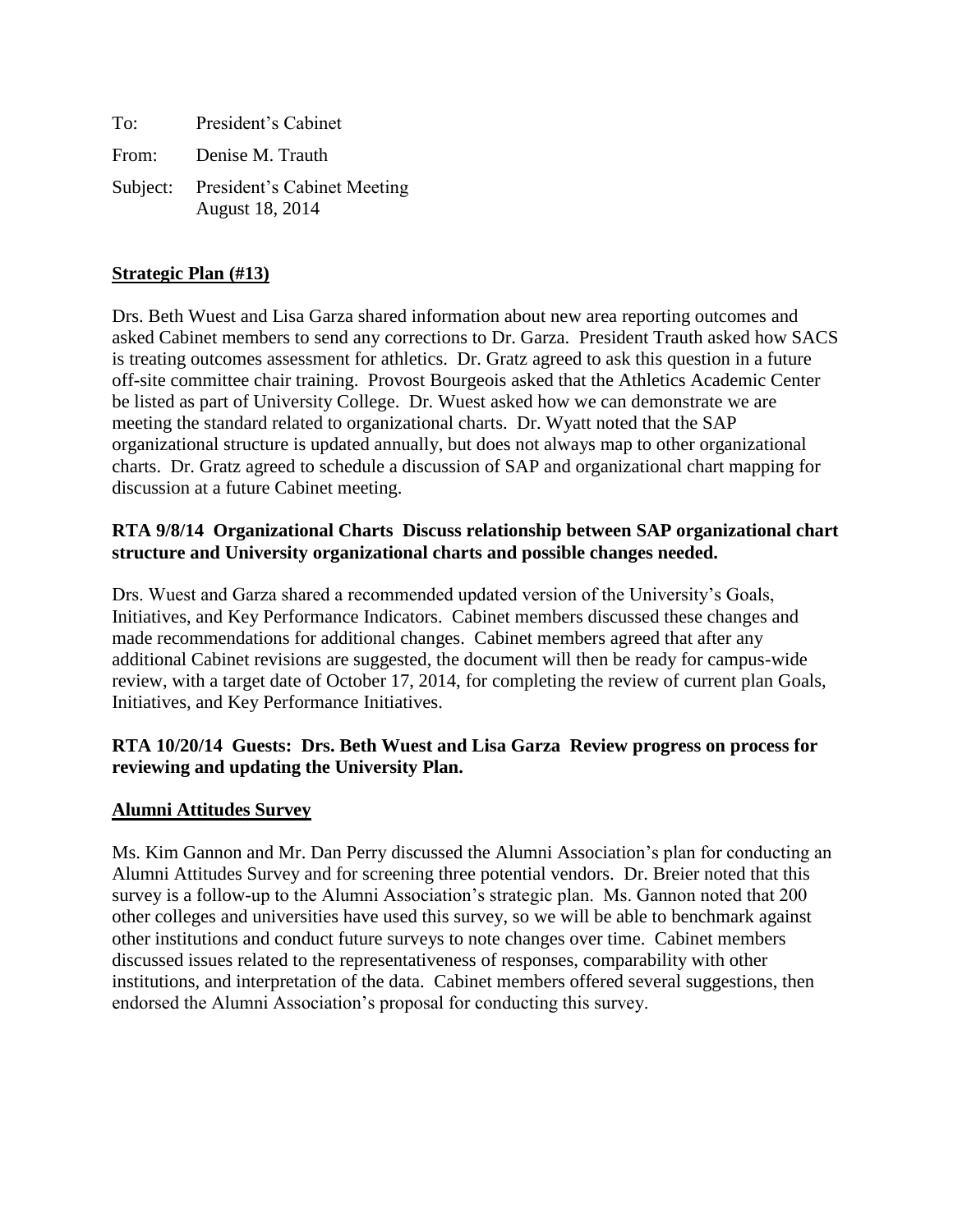| To:   | President's Cabinet                                     |
|-------|---------------------------------------------------------|
| From: | Denise M. Trauth                                        |
|       | Subject: President's Cabinet Meeting<br>August 18, 2014 |

#### **Strategic Plan (#13)**

Drs. Beth Wuest and Lisa Garza shared information about new area reporting outcomes and asked Cabinet members to send any corrections to Dr. Garza. President Trauth asked how SACS is treating outcomes assessment for athletics. Dr. Gratz agreed to ask this question in a future off-site committee chair training. Provost Bourgeois asked that the Athletics Academic Center be listed as part of University College. Dr. Wuest asked how we can demonstrate we are meeting the standard related to organizational charts. Dr. Wyatt noted that the SAP organizational structure is updated annually, but does not always map to other organizational charts. Dr. Gratz agreed to schedule a discussion of SAP and organizational chart mapping for discussion at a future Cabinet meeting.

## **RTA 9/8/14 Organizational Charts Discuss relationship between SAP organizational chart structure and University organizational charts and possible changes needed.**

Drs. Wuest and Garza shared a recommended updated version of the University's Goals, Initiatives, and Key Performance Indicators. Cabinet members discussed these changes and made recommendations for additional changes. Cabinet members agreed that after any additional Cabinet revisions are suggested, the document will then be ready for campus-wide review, with a target date of October 17, 2014, for completing the review of current plan Goals, Initiatives, and Key Performance Initiatives.

### **RTA 10/20/14 Guests: Drs. Beth Wuest and Lisa Garza Review progress on process for reviewing and updating the University Plan.**

#### **Alumni Attitudes Survey**

Ms. Kim Gannon and Mr. Dan Perry discussed the Alumni Association's plan for conducting an Alumni Attitudes Survey and for screening three potential vendors. Dr. Breier noted that this survey is a follow-up to the Alumni Association's strategic plan. Ms. Gannon noted that 200 other colleges and universities have used this survey, so we will be able to benchmark against other institutions and conduct future surveys to note changes over time. Cabinet members discussed issues related to the representativeness of responses, comparability with other institutions, and interpretation of the data. Cabinet members offered several suggestions, then endorsed the Alumni Association's proposal for conducting this survey.